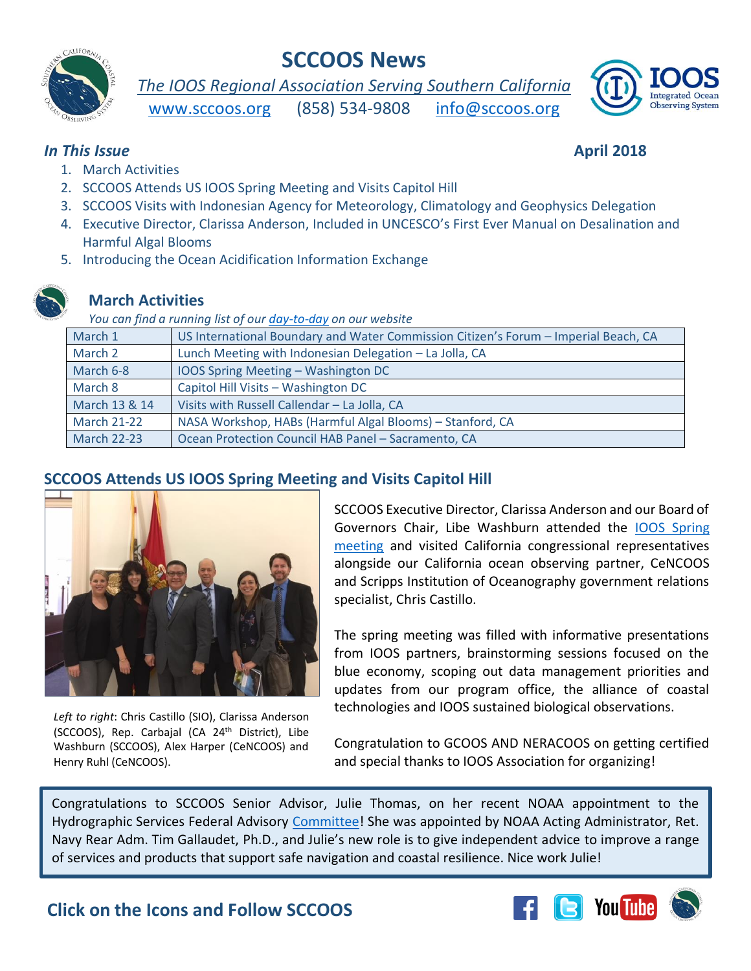

# **SCCOOS News**

*The IOOS Regional Association Serving Southern California* 





#### **In This Issue April 2018**

- 1. March Activities
- 2. SCCOOS Attends US IOOS Spring Meeting and Visits Capitol Hill
- 3. SCCOOS Visits with Indonesian Agency for Meteorology, Climatology and Geophysics Delegation
- 4. Executive Director, Clarissa Anderson, Included in UNCESCO's First Ever Manual on Desalination and Harmful Algal Blooms
- 5. Introducing the Ocean Acidification Information Exchange

# **March Activities**

*You can find a running list of our [day-to-day](http://sccoos.org/about/news/activity-log/) on our website* 

| March 1            | US International Boundary and Water Commission Citizen's Forum - Imperial Beach, CA |
|--------------------|-------------------------------------------------------------------------------------|
| March 2            | Lunch Meeting with Indonesian Delegation - La Jolla, CA                             |
| March 6-8          | IOOS Spring Meeting - Washington DC                                                 |
| March 8            | Capitol Hill Visits - Washington DC                                                 |
| March 13 & 14      | Visits with Russell Callendar - La Jolla, CA                                        |
| <b>March 21-22</b> | NASA Workshop, HABs (Harmful Algal Blooms) - Stanford, CA                           |
| <b>March 22-23</b> | Ocean Protection Council HAB Panel - Sacramento, CA                                 |

#### **SCCOOS Attends US IOOS Spring Meeting and Visits Capitol Hill**



*Left to right*: Chris Castillo (SIO), Clarissa Anderson (SCCOOS), Rep. Carbajal (CA 24<sup>th</sup> District), Libe Washburn (SCCOOS), Alex Harper (CeNCOOS) and Henry Ruhl (CeNCOOS).

SCCOOS Executive Director, Clarissa Anderson and our Board of Governors Chair, Libe Washburn attended the [IOOS Spring](http://www.ioosassociation.org/springmeeting2018)  [meeting](http://www.ioosassociation.org/springmeeting2018) and visited California congressional representatives alongside our California ocean observing partner, CeNCOOS and Scripps Institution of Oceanography government relations specialist, Chris Castillo.

The spring meeting was filled with informative presentations from IOOS partners, brainstorming sessions focused on the blue economy, scoping out data management priorities and updates from our program office, the alliance of coastal technologies and IOOS sustained biological observations.

Congratulation to GCOOS AND NERACOOS on getting certified and special thanks to IOOS Association for organizing!

Congratulations to SCCOOS Senior Advisor, Julie Thomas, on her recent NOAA appointment to the Hydrographic Services Federal Advisory [Committee!](https://nauticalcharts.noaa.gov/hsrp/panel.htm) She was appointed by NOAA Acting Administrator, Ret. Navy Rear Adm. Tim Gallaudet, Ph.D., and Julie's new role is to give independent advice to improve a range of services and products that support safe navigation and coastal resilience. Nice work Julie!

**Click on the Icons and Follow SCCOOS**